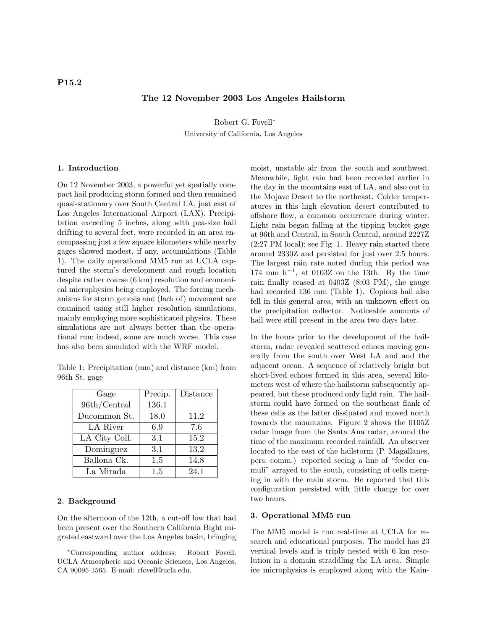# The 12 November 2003 Los Angeles Hailstorm

Robert G. Fovell<sup>∗</sup> University of California, Los Angeles

#### 1. Introduction

On 12 November 2003, a powerful yet spatially compact hail producing storm formed and then remained quasi-stationary over South Central LA, just east of Los Angeles International Airport (LAX). Precipitation exceeding 5 inches, along with pea-size hail drifting to several feet, were recorded in an area encompassing just a few square kilometers while nearby gages showed modest, if any, accumulations (Table 1). The daily operational MM5 run at UCLA captured the storm's development and rough location despite rather coarse (6 km) resolution and economical microphysics being employed. The forcing mechanisms for storm genesis and (lack of) movement are examined using still higher resolution simulations, mainly employing more sophisticated physics. These simulations are not always better than the operational run; indeed, some are much worse. This case has also been simulated with the WRF model.

Table 1: Precipitation (mm) and distance (km) from 96th St. gage

| Gage          | Precip. | Distance |
|---------------|---------|----------|
| 96th/Central  | 136.1   |          |
| Ducommon St.  | 18.0    | 11.2     |
| LA River      | 6.9     | 7.6      |
| LA City Coll. | 3.1     | 15.2     |
| Dominguez     | 3.1     | 13.2     |
| Ballona Ck.   | 1.5     | 14.8     |
| La Mirada     | 1.5     | 24.1     |

#### 2. Background

On the afternoon of the 12th, a cut-off low that had been present over the Southern California Bight migrated eastward over the Los Angeles basin, bringing moist, unstable air from the south and southwest. Meanwhile, light rain had been recorded earlier in the day in the mountains east of LA, and also out in the Mojave Desert to the northeast. Colder temperatures in this high elevation desert contributed to offshore flow, a common occurrence during winter. Light rain began falling at the tipping bucket gage at 96th and Central, in South Central, around 2227Z (2:27 PM local); see Fig. 1. Heavy rain started there around 2330Z and persisted for just over 2.5 hours. The largest rain rate noted during this period was  $174 \text{ mm } \text{h}^{-1}$ , at  $0103\text{Z}$  on the 13th. By the time rain finally ceased at 0403Z (8:03 PM), the gauge had recorded 136 mm (Table 1). Copious hail also fell in this general area, with an unknown effect on the precipitation collector. Noticeable amounts of hail were still present in the area two days later.

In the hours prior to the development of the hailstorm, radar revealed scattered echoes moving generally from the south over West LA and and the adjacent ocean. A sequence of relatively bright but short-lived echoes formed in this area, several kilometers west of where the hailstorm subsequently appeared, but these produced only light rain. The hailstorm could have formed on the southeast flank of these cells as the latter dissipated and moved north towards the mountains. Figure 2 shows the 0105Z radar image from the Santa Ana radar, around the time of the maximum recorded rainfall. An observer located to the east of the hailstorm (P. Magallanes, pers. comm.) reported seeing a line of "feeder cumuli" arrayed to the south, consisting of cells merging in with the main storm. He reported that this configuration persisted with little change for over two hours.

# 3. Operational MM5 run

The MM5 model is run real-time at UCLA for research and educational purposes. The model has 23 vertical levels and is triply nested with 6 km resolution in a domain straddling the LA area. Simple ice microphysics is employed along with the Kain-

<sup>∗</sup>Corresponding author address: Robert Fovell, UCLA Atmospheric and Oceanic Sciences, Los Angeles, CA 90095-1565. E-mail: rfovell@ucla.edu.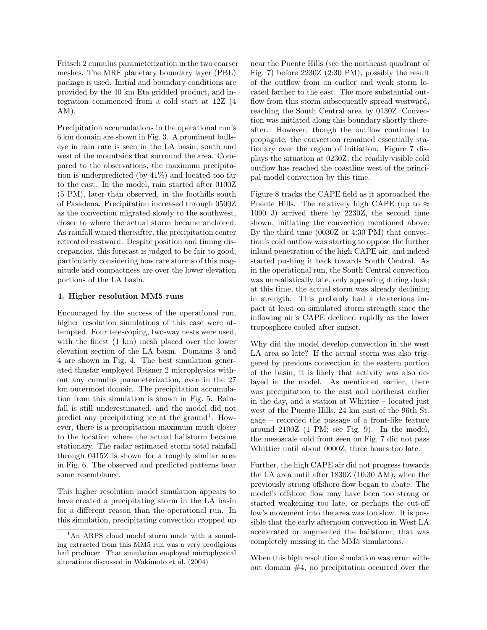Fritsch 2 cumulus parameterization in the two coarser meshes. The MRF planetary boundary layer (PBL) package is used. Initial and boundary conditions are provided by the 40 km Eta gridded product, and integration commenced from a cold start at 12Z (4 AM).

Precipitation accumulations in the operational run's 6 km domain are shown in Fig. 3. A prominent bullseye in rain rate is seen in the LA basin, south and west of the mountains that surround the area. Compared to the observations, the maximum precipitation is underpredicted (by 41%) and located too far to the east. In the model, rain started after 0100Z (5 PM), later than observed, in the foothills south of Pasadena. Precipitation increased through 0500Z as the convection migrated slowly to the southwest, closer to where the actual storm became anchored. As rainfall waned thereafter, the precipitation center retreated eastward. Despite position and timing discrepancies, this forecast is judged to be fair to good, particularly considering how rare storms of this magnitude and compactness are over the lower elevation portions of the LA basin.

# 4. Higher resolution MM5 runs

Encouraged by the success of the operational run, higher resolution simulations of this case were attempted. Four telescoping, two-way nests were used, with the finest (1 km) mesh placed over the lower elevation section of the LA basin. Domains 3 and 4 are shown in Fig. 4. The best simulation generated thusfar employed Reisner 2 microphysics without any cumulus parameterization, even in the 27 km outermost domain. The precipitation accumulation from this simulation is shown in Fig. 5. Rainfall is still underestimated, and the model did not predict any precipitating ice at the ground<sup>1</sup>. However, there is a precipitation maximum much closer to the location where the actual hailstorm became stationary. The radar estimated storm total rainfall through 0415Z is shown for a roughly similar area in Fig. 6. The observed and predicted patterns bear some resemblance.

This higher resolution model simulation appears to have created a precipitating storm in the LA basin for a different reason than the operational run. In this simulation, precipitating convection cropped up near the Puente Hills (see the northeast quadrant of Fig. 7) before 2230Z (2:30 PM), possibly the result of the outflow from an earlier and weak storm located farther to the east. The more substantial outflow from this storm subsequently spread westward, reaching the South Central area by 0130Z. Convection was initiated along this boundary shortly thereafter. However, though the outflow continued to propagate, the convection remained essentially stationary over the region of initiation. Figure 7 displays the situation at 0230Z; the readily visible cold outflow has reached the coastline west of the principal model convection by this time.

Figure 8 tracks the CAPE field as it approached the Puente Hills. The relatively high CAPE (up to  $\approx$ 1000 J) arrived there by 2230Z, the second time shown, initiating the convection mentioned above. By the third time (0030Z or 4:30 PM) that convection's cold outflow was starting to oppose the further inland penetration of the high CAPE air, and indeed started pushing it back towards South Central. As in the operational run, the South Central convection was unrealistically late, only appearing during dusk; at this time, the actual storm was already declining in strength. This probably had a deleterious impact at least on simulated storm strength since the inflowing air's CAPE declined rapidly as the lower troposphere cooled after sunset.

Why did the model develop convection in the west LA area so late? If the actual storm was also triggered by previous convection in the eastern portion of the basin, it is likely that activity was also delayed in the model. As mentioned earlier, there was precipitation to the east and northeast earlier in the day, and a station at Whittier – located just west of the Puente Hills, 24 km east of the 96th St. gage – recorded the passage of a front-like feature around 2100Z (1 PM; see Fig. 9). In the model, the mesoscale cold front seen on Fig. 7 did not pass Whittier until about 0000Z, three hours too late.

Further, the high CAPE air did not progress towards the LA area until after 1830Z (10:30 AM), when the previously strong offshore flow began to abate. The model's offshore flow may have been too strong or started weakening too late, or perhaps the cut-off low's movement into the area was too slow. It is possible that the early afternoon convection in West LA accelerated or augmented the hailstorm; that was completely missing in the MM5 simulations.

When this high resolution simulation was rerun without domain #4, no precipitation occurred over the

<sup>&</sup>lt;sup>1</sup>An ARPS cloud model storm made with a sounding extracted from this MM5 run was a very prodigious hail producer. That simulation employed microphysical alterations discussed in Wakimoto et al. (2004)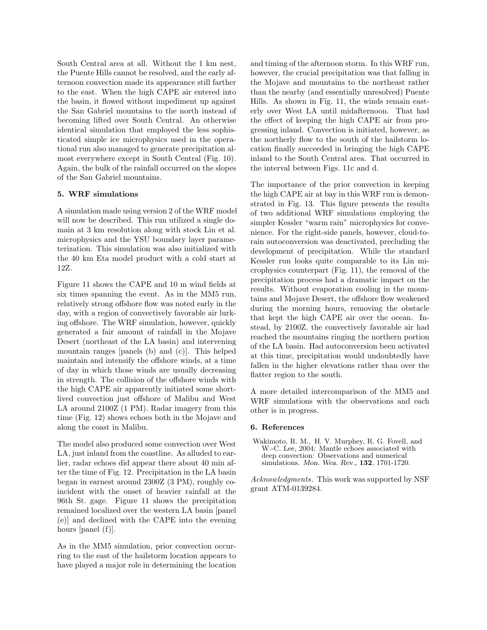South Central area at all. Without the 1 km nest, the Puente Hills cannot be resolved, and the early afternoon convection made its appearance still farther to the east. When the high CAPE air entered into the basin, it flowed without impediment up against the San Gabriel mountains to the north instead of becoming lifted over South Central. An otherwise identical simulation that employed the less sophisticated simple ice microphysics used in the operational run also managed to generate precipitation almost everywhere except in South Central (Fig. 10). Again, the bulk of the rainfall occurred on the slopes of the San Gabriel mountains.

# 5. WRF simulations

A simulation made using version 2 of the WRF model will now be described. This run utilized a single domain at 3 km resolution along with stock Lin et al. microphysics and the YSU boundary layer parameterization. This simulation was also initialized with the 40 km Eta model product with a cold start at 12Z.

Figure 11 shows the CAPE and 10 m wind fields at six times spanning the event. As in the MM5 run, relatively strong offshore flow was noted early in the day, with a region of convectively favorable air lurking offshore. The WRF simulation, however, quickly generated a fair amount of rainfall in the Mojave Desert (northeast of the LA basin) and intervening mountain ranges [panels (b) and (c)]. This helped maintain and intensify the offshore winds, at a time of day in which those winds are usually decreasing in strength. The collision of the offshore winds with the high CAPE air apparently initiated some shortlived convection just offshore of Malibu and West LA around 2100Z (1 PM). Radar imagery from this time (Fig. 12) shows echoes both in the Mojave and along the coast in Malibu.

The model also produced some convection over West LA, just inland from the coastline. As alluded to earlier, radar echoes did appear there about 40 min after the time of Fig. 12. Precipitation in the LA basin began in earnest around 2300Z (3 PM), roughly coincident with the onset of heavier rainfall at the 96th St. gage. Figure 11 shows the precipitation remained localized over the western LA basin [panel (e)] and declined with the CAPE into the evening hours [panel (f)].

As in the MM5 simulation, prior convection occurring to the east of the hailstorm location appears to have played a major role in determining the location and timing of the afternoon storm. In this WRF run, however, the crucial precipitation was that falling in the Mojave and mountains to the northeast rather than the nearby (and essentially unresolved) Puente Hills. As shown in Fig. 11, the winds remain easterly over West LA until midafternoon. That had the effect of keeping the high CAPE air from progressing inland. Convection is initiated, however, as the northerly flow to the south of the hailstorm location finally succeeded in bringing the high CAPE inland to the South Central area. That occurred in the interval between Figs. 11c and d.

The importance of the prior convection in keeping the high CAPE air at bay in this WRF run is demonstrated in Fig. 13. This figure presents the results of two additional WRF simulations employing the simpler Kessler "warm rain" microphysics for convenience. For the right-side panels, however, cloud-torain autoconversion was deactivated, precluding the development of precipitation. While the standard Kessler run looks quite comparable to its Lin microphysics counterpart (Fig. 11), the removal of the precipitation process had a dramatic impact on the results. Without evaporation cooling in the mountains and Mojave Desert, the offshore flow weakened during the morning hours, removing the obstacle that kept the high CAPE air over the ocean. Instead, by 2100Z, the convectively favorable air had reached the mountains ringing the northern portion of the LA basin. Had autoconversion been activated at this time, precipitation would undoubtedly have fallen in the higher elevations rather than over the flatter region to the south.

A more detailed intercomparison of the MM5 and WRF simulations with the observations and each other is in progress.

#### 6. References

Wakimoto, R. M., H. V. Murphey, R. G. Fovell, and W.-C. Lee, 2004: Mantle echoes associated with deep convection: Observations and numerical simulations. Mon. Wea. Rev., 132, 1701-1720.

Acknowledgments. This work was supported by NSF grant ATM-0139284.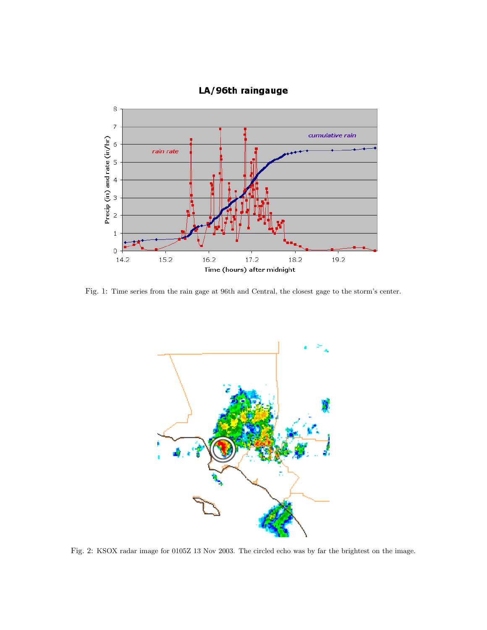

# LA/96th raingauge

Fig. 1: Time series from the rain gage at 96th and Central, the closest gage to the storm's center.



Fig. 2: KSOX radar image for 0105Z 13 Nov 2003. The circled echo was by far the brightest on the image.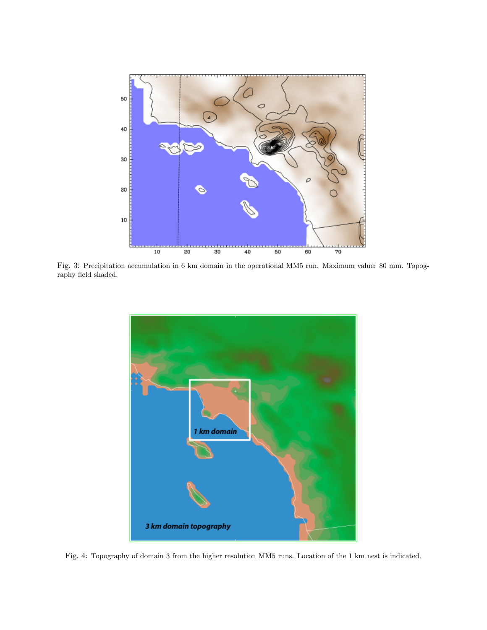

Fig. 3: Precipitation accumulation in 6 km domain in the operational MM5 run. Maximum value: 80 mm. Topography field shaded.



Fig. 4: Topography of domain 3 from the higher resolution MM5 runs. Location of the 1 km nest is indicated.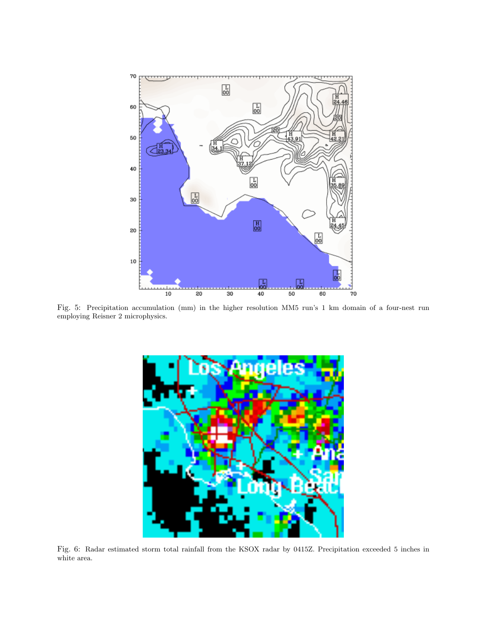

Fig. 5: Precipitation accumulation (mm) in the higher resolution MM5 run's 1 km domain of a four-nest run employing Reisner 2 microphysics.



Fig. 6: Radar estimated storm total rainfall from the KSOX radar by 0415Z. Precipitation exceeded 5 inches in white area.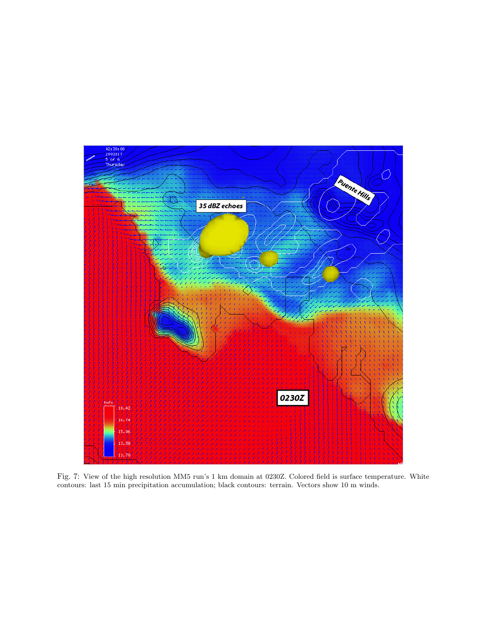

Fig. 7: View of the high resolution MM5 run's 1 km domain at 0230Z. Colored field is surface temperature. White contours: last 15 min precipitation accumulation; black contours: terrain. Vectors show 10 m winds.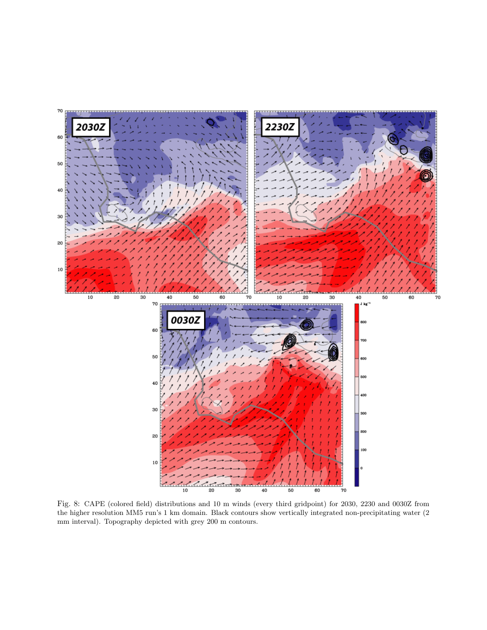

Fig. 8: CAPE (colored field) distributions and 10 m winds (every third gridpoint) for 2030, 2230 and 0030Z from the higher resolution MM5 run's 1 km domain. Black contours show vertically integrated non-precipitating water (2 mm interval). Topography depicted with grey 200 m contours.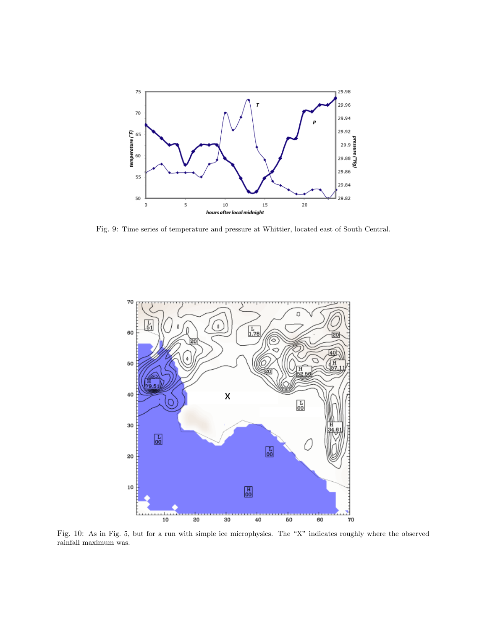

Fig. 9: Time series of temperature and pressure at Whittier, located east of South Central.



Fig. 10: As in Fig. 5, but for a run with simple ice microphysics. The "X" indicates roughly where the observed rainfall maximum was.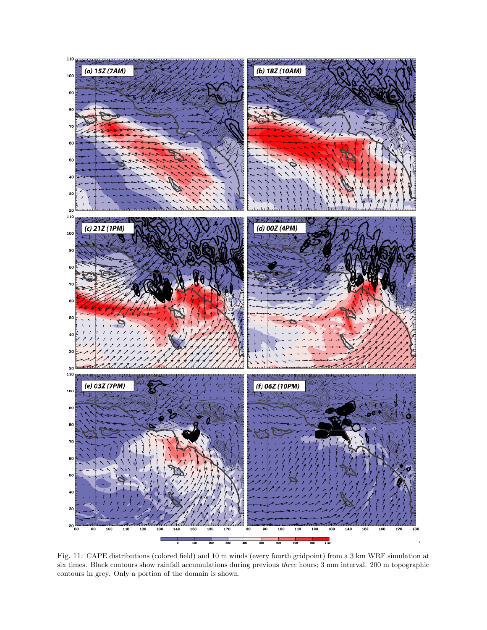

Fig. 11: CAPE distributions (colored field) and 10 m winds (every fourth gridpoint) from a 3 km WRF simulation at six times. Black contours show rainfall accumulations during previous three hours; 3 mm interval. 200 m topographic contours in grey. Only a portion of the domain is shown.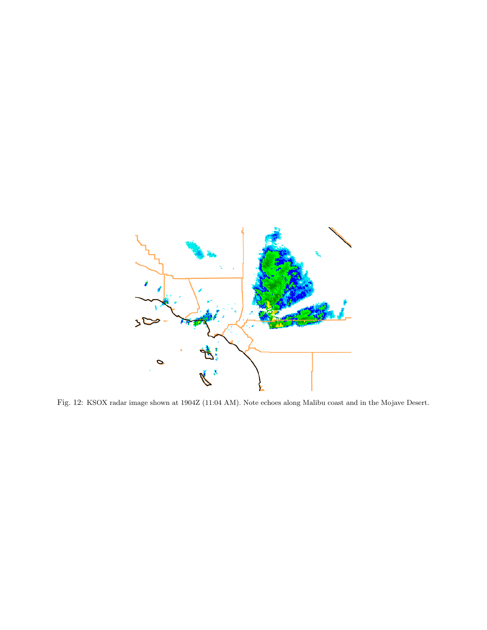

Fig. 12: KSOX radar image shown at 1904Z (11:04 AM). Note echoes along Malibu coast and in the Mojave Desert.